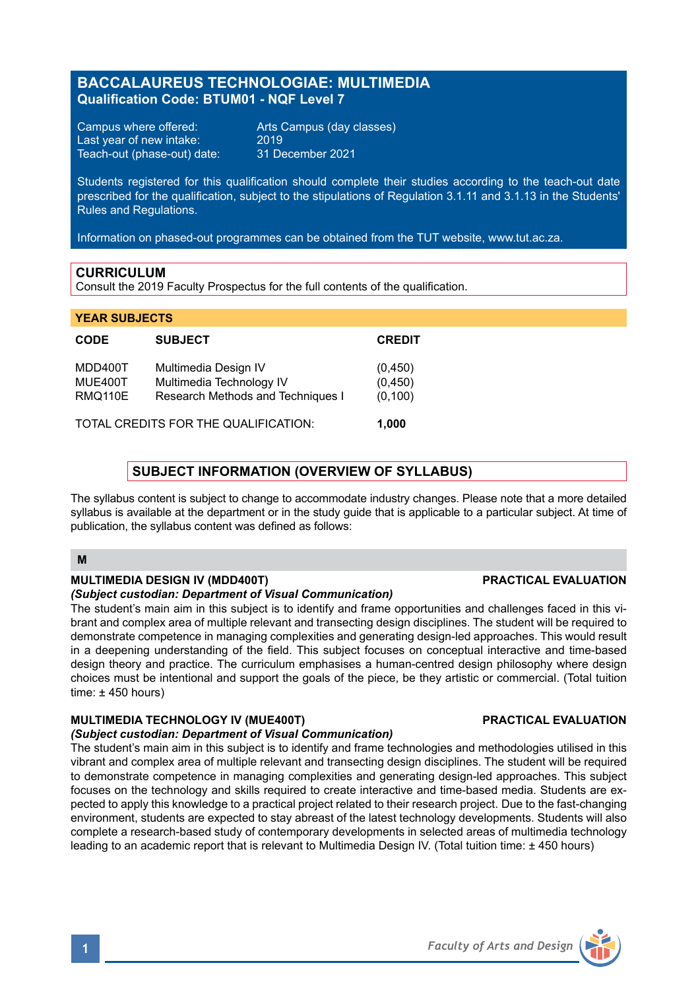# **BACCALAUREUS TECHNOLOGIAE: MULTIMEDIA Qualification Code: BTUM01 - NQF Level 7**

Campus where offered: Arts Campus (day classes)<br>Last year of new intake: 2019 Last year of new intake: 2019<br>Teach-out (phase-out) date: 31 December 2021 Teach-out (phase-out) date:

Students registered for this qualification should complete their studies according to the teach-out date prescribed for the qualification, subject to the stipulations of Regulation 3.1.11 and 3.1.13 in the Students' Rules and Regulations.

Information on phased-out programmes can be obtained from the TUT website, www.tut.ac.za.

## **CURRICULUM**

Consult the 2019 Faculty Prospectus for the full contents of the qualification.

### **YEAR SUBJECTS**

| <b>CODE</b>                          | <b>SUBJECT</b>                                                                        | <b>CREDIT</b>                  |
|--------------------------------------|---------------------------------------------------------------------------------------|--------------------------------|
| MDD400T<br>MUE400T<br>RMQ110E        | Multimedia Design IV<br>Multimedia Technology IV<br>Research Methods and Techniques I | (0,450)<br>(0,450)<br>(0, 100) |
| TOTAL CREDITS FOR THE QUALIFICATION: |                                                                                       | 1.000                          |

# **SUBJECT INFORMATION (OVERVIEW OF SYLLABUS)**

The syllabus content is subject to change to accommodate industry changes. Please note that a more detailed syllabus is available at the department or in the study guide that is applicable to a particular subject. At time of publication, the syllabus content was defined as follows:

## **M**

## **MULTIMEDIA DESIGN IV (MDD400T) PRACTICAL EVALUATION**

#### *(Subject custodian: Department of Visual Communication)*

The student's main aim in this subject is to identify and frame opportunities and challenges faced in this vibrant and complex area of multiple relevant and transecting design disciplines. The student will be required to demonstrate competence in managing complexities and generating design-led approaches. This would result in a deepening understanding of the field. This subject focuses on conceptual interactive and time-based design theory and practice. The curriculum emphasises a human-centred design philosophy where design choices must be intentional and support the goals of the piece, be they artistic or commercial. (Total tuition time: ± 450 hours)

## **MULTIMEDIA TECHNOLOGY IV (MUE400T) PRACTICAL EVALUATION**

#### *(Subject custodian: Department of Visual Communication)*

The student's main aim in this subject is to identify and frame technologies and methodologies utilised in this vibrant and complex area of multiple relevant and transecting design disciplines. The student will be required to demonstrate competence in managing complexities and generating design-led approaches. This subject focuses on the technology and skills required to create interactive and time-based media. Students are expected to apply this knowledge to a practical project related to their research project. Due to the fast-changing environment, students are expected to stay abreast of the latest technology developments. Students will also complete a research-based study of contemporary developments in selected areas of multimedia technology leading to an academic report that is relevant to Multimedia Design IV. (Total tuition time: ± 450 hours)